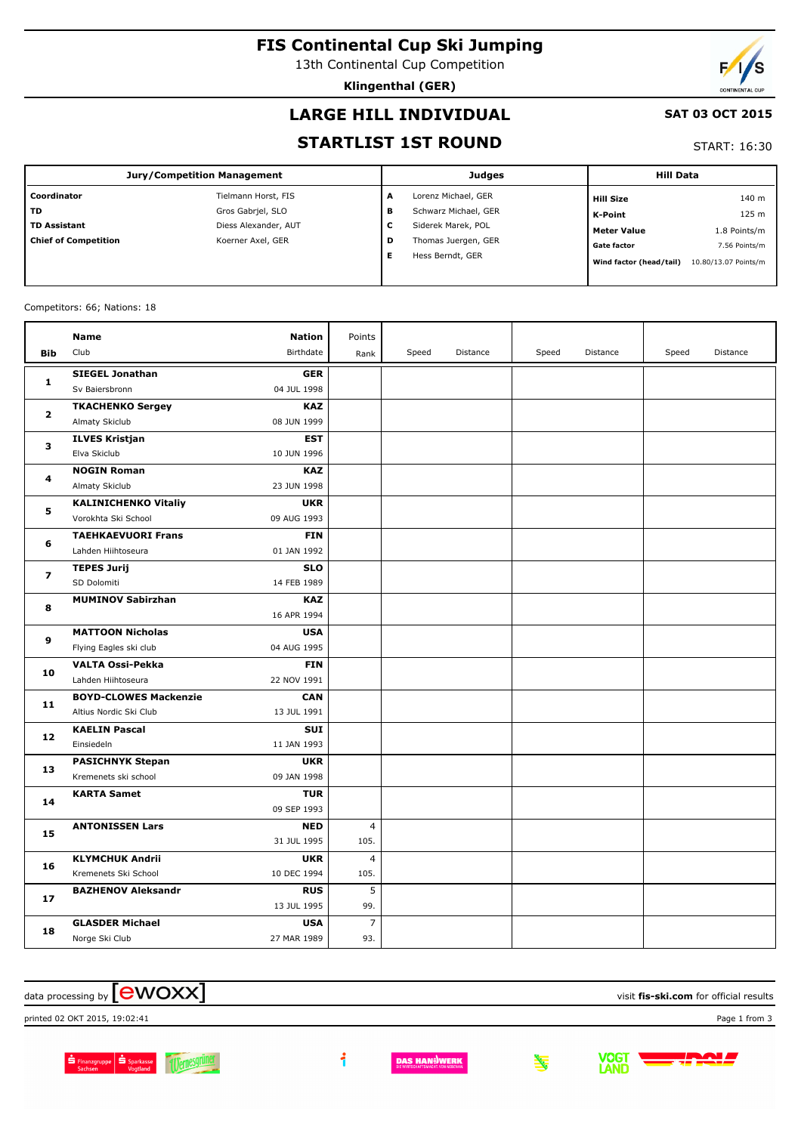**FIS Continental Cup Ski Jumping**

13th Continental Cup Competition

**Klingenthal (GER)**



#### **LARGE HILL INDIVIDUAL**

#### **SAT 03 OCT 2015**

#### **STARTLIST 1ST ROUND**

START: 16:30

| <b>Jury/Competition Management</b> |                      |   | Judges               | <b>Hill Data</b>        |                      |  |
|------------------------------------|----------------------|---|----------------------|-------------------------|----------------------|--|
| Coordinator                        | Tielmann Horst, FIS  | A | Lorenz Michael, GER  | <b>Hill Size</b>        | 140 m                |  |
| <b>TD</b>                          | Gros Gabriel, SLO    | в | Schwarz Michael, GER | K-Point                 | 125 m                |  |
| <b>TD Assistant</b>                | Diess Alexander, AUT | ∼ | Siderek Marek, POL   | <b>Meter Value</b>      | 1.8 Points/m         |  |
| <b>Chief of Competition</b>        | Koerner Axel, GER    | D | Thomas Juergen, GER  | <b>Gate factor</b>      | 7.56 Points/m        |  |
|                                    |                      |   | Hess Berndt, GER     | Wind factor (head/tail) | 10.80/13.07 Points/m |  |

Competitors: 66; Nations: 18

|                | <b>Name</b>                                   | <b>Nation</b>             | Points         |       |          |       |          |       |          |
|----------------|-----------------------------------------------|---------------------------|----------------|-------|----------|-------|----------|-------|----------|
| <b>Bib</b>     | Club                                          | Birthdate                 | Rank           | Speed | Distance | Speed | Distance | Speed | Distance |
| $\mathbf{1}$   | <b>SIEGEL Jonathan</b>                        | <b>GER</b>                |                |       |          |       |          |       |          |
|                | Sv Baiersbronn                                | 04 JUL 1998               |                |       |          |       |          |       |          |
|                | <b>TKACHENKO Sergey</b>                       | <b>KAZ</b>                |                |       |          |       |          |       |          |
| $\mathbf{2}$   | Almaty Skiclub                                | 08 JUN 1999               |                |       |          |       |          |       |          |
| 3              | <b>ILVES Kristjan</b>                         | EST                       |                |       |          |       |          |       |          |
|                | Elva Skiclub                                  | 10 JUN 1996               |                |       |          |       |          |       |          |
| 4              | <b>NOGIN Roman</b>                            | <b>KAZ</b>                |                |       |          |       |          |       |          |
|                | Almaty Skiclub                                | 23 JUN 1998               |                |       |          |       |          |       |          |
| 5              | <b>KALINICHENKO Vitaliy</b>                   | <b>UKR</b>                |                |       |          |       |          |       |          |
|                | Vorokhta Ski School                           | 09 AUG 1993               |                |       |          |       |          |       |          |
| 6              | <b>TAEHKAEVUORI Frans</b>                     | <b>FIN</b>                |                |       |          |       |          |       |          |
|                | Lahden Hiihtoseura                            | 01 JAN 1992               |                |       |          |       |          |       |          |
| $\overline{ }$ | <b>TEPES Jurij</b>                            | <b>SLO</b>                |                |       |          |       |          |       |          |
|                | SD Dolomiti                                   | 14 FEB 1989               |                |       |          |       |          |       |          |
| 8              | <b>MUMINOV Sabirzhan</b>                      | <b>KAZ</b>                |                |       |          |       |          |       |          |
|                |                                               | 16 APR 1994               |                |       |          |       |          |       |          |
| 9<br>10        | <b>MATTOON Nicholas</b>                       | <b>USA</b>                |                |       |          |       |          |       |          |
|                | Flying Eagles ski club                        | 04 AUG 1995               |                |       |          |       |          |       |          |
|                | <b>VALTA Ossi-Pekka</b><br>Lahden Hiihtoseura | <b>FIN</b><br>22 NOV 1991 |                |       |          |       |          |       |          |
|                | <b>BOYD-CLOWES Mackenzie</b>                  | <b>CAN</b>                |                |       |          |       |          |       |          |
| 11             | Altius Nordic Ski Club                        | 13 JUL 1991               |                |       |          |       |          |       |          |
|                | <b>KAELIN Pascal</b>                          | <b>SUI</b>                |                |       |          |       |          |       |          |
| 12             | Einsiedeln                                    | 11 JAN 1993               |                |       |          |       |          |       |          |
|                | <b>PASICHNYK Stepan</b>                       | <b>UKR</b>                |                |       |          |       |          |       |          |
| 13             | Kremenets ski school                          | 09 JAN 1998               |                |       |          |       |          |       |          |
|                | <b>KARTA Samet</b>                            | <b>TUR</b>                |                |       |          |       |          |       |          |
| 14             |                                               | 09 SEP 1993               |                |       |          |       |          |       |          |
|                | <b>ANTONISSEN Lars</b>                        | <b>NED</b>                | 4              |       |          |       |          |       |          |
| 15             |                                               | 31 JUL 1995               | 105.           |       |          |       |          |       |          |
| 16             | <b>KLYMCHUK Andrii</b>                        | <b>UKR</b>                | 4              |       |          |       |          |       |          |
|                | Kremenets Ski School                          | 10 DEC 1994               | 105.           |       |          |       |          |       |          |
| 17             | <b>BAZHENOV Aleksandr</b>                     | <b>RUS</b>                | 5              |       |          |       |          |       |          |
|                |                                               | 13 JUL 1995               | 99.            |       |          |       |          |       |          |
|                | <b>GLASDER Michael</b>                        | <b>USA</b>                | $\overline{7}$ |       |          |       |          |       |          |
| 18             | Norge Ski Club                                | 27 MAR 1989               | 93.            |       |          |       |          |       |          |

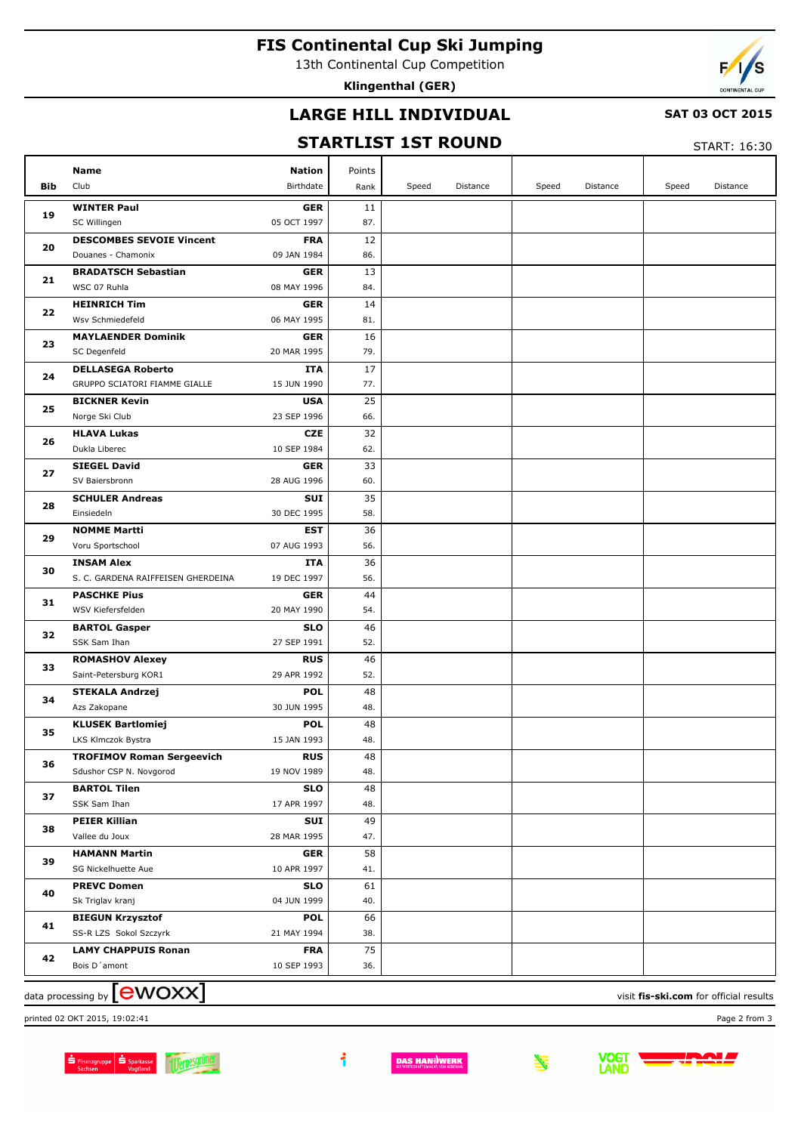# **FIS Continental Cup Ski Jumping**

13th Continental Cup Competition

**Klingenthal (GER)**

## **LARGE HILL INDIVIDUAL**

#### **SAT 03 OCT 2015**

## **STARTLIST 1ST ROUND**

START: 16:30

|                                                                             | Name                               | <b>Nation</b> | Points |       |          |       |          |       |          |
|-----------------------------------------------------------------------------|------------------------------------|---------------|--------|-------|----------|-------|----------|-------|----------|
| Bib                                                                         | Club                               | Birthdate     | Rank   | Speed | Distance | Speed | Distance | Speed | Distance |
|                                                                             | <b>WINTER Paul</b>                 | <b>GER</b>    | 11     |       |          |       |          |       |          |
| 19                                                                          | SC Willingen                       | 05 OCT 1997   | 87.    |       |          |       |          |       |          |
| 20                                                                          | <b>DESCOMBES SEVOIE Vincent</b>    | <b>FRA</b>    | 12     |       |          |       |          |       |          |
|                                                                             | Douanes - Chamonix                 | 09 JAN 1984   | 86.    |       |          |       |          |       |          |
|                                                                             | <b>BRADATSCH Sebastian</b>         | <b>GER</b>    | 13     |       |          |       |          |       |          |
| 21                                                                          | WSC 07 Ruhla                       | 08 MAY 1996   | 84.    |       |          |       |          |       |          |
|                                                                             | <b>HEINRICH Tim</b>                | <b>GER</b>    | 14     |       |          |       |          |       |          |
| 22                                                                          |                                    |               |        |       |          |       |          |       |          |
|                                                                             | Wsv Schmiedefeld                   | 06 MAY 1995   | 81.    |       |          |       |          |       |          |
| 23                                                                          | <b>MAYLAENDER Dominik</b>          | <b>GER</b>    | 16     |       |          |       |          |       |          |
|                                                                             | SC Degenfeld                       | 20 MAR 1995   | 79.    |       |          |       |          |       |          |
| 24                                                                          | <b>DELLASEGA Roberto</b>           | ITA           | 17     |       |          |       |          |       |          |
|                                                                             | GRUPPO SCIATORI FIAMME GIALLE      | 15 JUN 1990   | 77.    |       |          |       |          |       |          |
| 25                                                                          | <b>BICKNER Kevin</b>               | <b>USA</b>    | 25     |       |          |       |          |       |          |
|                                                                             | Norge Ski Club                     | 23 SEP 1996   | 66.    |       |          |       |          |       |          |
| 26                                                                          | <b>HLAVA Lukas</b>                 | <b>CZE</b>    | 32     |       |          |       |          |       |          |
|                                                                             | Dukla Liberec                      | 10 SEP 1984   | 62.    |       |          |       |          |       |          |
|                                                                             | <b>SIEGEL David</b>                | <b>GER</b>    | 33     |       |          |       |          |       |          |
| 27                                                                          | SV Baiersbronn                     | 28 AUG 1996   | 60.    |       |          |       |          |       |          |
|                                                                             | <b>SCHULER Andreas</b>             | SUI           | 35     |       |          |       |          |       |          |
| 28                                                                          | Einsiedeln                         | 30 DEC 1995   | 58.    |       |          |       |          |       |          |
|                                                                             | <b>NOMME Martti</b>                | <b>EST</b>    | 36     |       |          |       |          |       |          |
| 29                                                                          | Voru Sportschool                   | 07 AUG 1993   | 56.    |       |          |       |          |       |          |
|                                                                             | <b>INSAM Alex</b>                  | ITA           | 36     |       |          |       |          |       |          |
| 30                                                                          | S. C. GARDENA RAIFFEISEN GHERDEINA | 19 DEC 1997   | 56.    |       |          |       |          |       |          |
|                                                                             | <b>PASCHKE Pius</b>                | <b>GER</b>    | 44     |       |          |       |          |       |          |
| 31                                                                          | WSV Kiefersfelden                  | 20 MAY 1990   | 54.    |       |          |       |          |       |          |
|                                                                             | <b>BARTOL Gasper</b>               | <b>SLO</b>    | 46     |       |          |       |          |       |          |
| 32                                                                          | SSK Sam Ihan                       | 27 SEP 1991   | 52.    |       |          |       |          |       |          |
|                                                                             |                                    | <b>RUS</b>    | 46     |       |          |       |          |       |          |
| 33                                                                          | <b>ROMASHOV Alexey</b>             |               |        |       |          |       |          |       |          |
|                                                                             | Saint-Petersburg KOR1              | 29 APR 1992   | 52.    |       |          |       |          |       |          |
| 34                                                                          | <b>STEKALA Andrzej</b>             | <b>POL</b>    | 48     |       |          |       |          |       |          |
|                                                                             | Azs Zakopane                       | 30 JUN 1995   | 48.    |       |          |       |          |       |          |
| 35                                                                          | <b>KLUSEK Bartlomiej</b>           | <b>POL</b>    | 48     |       |          |       |          |       |          |
|                                                                             | LKS Klmczok Bystra                 | 15 JAN 1993   | 48.    |       |          |       |          |       |          |
| 36                                                                          | <b>TROFIMOV Roman Sergeevich</b>   | <b>RUS</b>    | 48     |       |          |       |          |       |          |
|                                                                             | Sdushor CSP N. Novgorod            | 19 NOV 1989   | 48.    |       |          |       |          |       |          |
| 37                                                                          | <b>BARTOL Tilen</b>                | <b>SLO</b>    | 48     |       |          |       |          |       |          |
|                                                                             | SSK Sam Ihan                       | 17 APR 1997   | 48.    |       |          |       |          |       |          |
| 38                                                                          | <b>PEIER Killian</b>               | <b>SUI</b>    | 49     |       |          |       |          |       |          |
|                                                                             | Vallee du Joux                     | 28 MAR 1995   | 47.    |       |          |       |          |       |          |
|                                                                             | <b>HAMANN Martin</b>               | <b>GER</b>    | 58     |       |          |       |          |       |          |
| 39                                                                          | SG Nickelhuette Aue                | 10 APR 1997   | 41.    |       |          |       |          |       |          |
|                                                                             | <b>PREVC Domen</b>                 | <b>SLO</b>    | 61     |       |          |       |          |       |          |
| 40                                                                          | Sk Triglav kranj                   | 04 JUN 1999   | 40.    |       |          |       |          |       |          |
|                                                                             | <b>BIEGUN Krzysztof</b>            | <b>POL</b>    | 66     |       |          |       |          |       |          |
| 41                                                                          | SS-R LZS Sokol Szczyrk             | 21 MAY 1994   | 38.    |       |          |       |          |       |          |
|                                                                             | <b>LAMY CHAPPUIS Ronan</b>         | <b>FRA</b>    | 75     |       |          |       |          |       |          |
| 42                                                                          | Bois D'amont                       | 10 SEP 1993   | 36.    |       |          |       |          |       |          |
|                                                                             |                                    |               |        |       |          |       |          |       |          |
| data processing by <b>[CWOXX]</b><br>visit fis-ski.com for official results |                                    |               |        |       |          |       |          |       |          |

printed 02 OKT 2015, 19:02:41 Page 2 from 3

Sachsen Sparkasse

 $\ddot{\mathbf{1}}$ 

**DAS HAN<sup>ES</sup>WERK** 

**VOGT**<br>LAND

<u>پو</u>